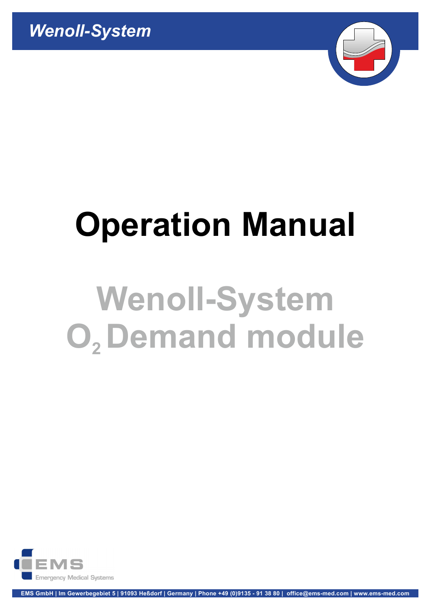

# Operation Manual

# O, Demand module Wenoll-System

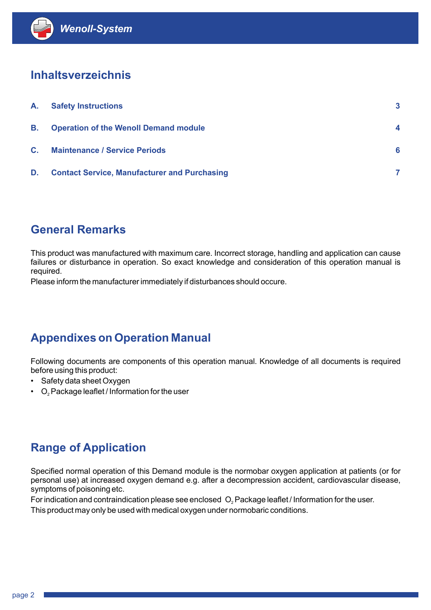# Inhaltsverzeichnis

| <b>Wenoll-System</b>      |                                                     |                         |
|---------------------------|-----------------------------------------------------|-------------------------|
| <b>Inhaltsverzeichnis</b> |                                                     |                         |
| А.                        | <b>Safety Instructions</b>                          | $\overline{\mathbf{3}}$ |
| <b>B.</b>                 | <b>Operation of the Wenoll Demand module</b>        | 4                       |
| C.                        | <b>Maintenance / Service Periods</b>                | 6                       |
| D.                        | <b>Contact Service, Manufacturer and Purchasing</b> | $\overline{7}$          |
|                           |                                                     |                         |
|                           |                                                     |                         |

# General Remarks

**General Remarks**<br>
This product was manufactured with maximum care. Incorrect storage, ha<br>
fallures or disturbance in operation. So exact knowledge and considera<br>
required.<br>
Please inform the manufacturer immediately if di This product was manufactured with maximum care. Incorrect storage, handling and application can cause failures or disturbance in operation. So exact knowledge and consideration of this operation manual is required.

Please inform the manufacturer immediately if disturbances should occure.

# Appendixes on Operation Manual

Following documents are components of this operation manual. Knowledge of all documents is required before using this product:

- Safety data sheet Oxygen
- 

# Range of Application

Specified normal operation of this Demand module is the normobar oxygen application at patients (or for personal use) at increased oxygen demand e.g. after a decompression accident, cardiovascular disease, symptoms of poisoning etc. **Appendixes on Operation Manual**<br>Following documents are components of this operation manual. Knowledge of all documents is required<br>before using this product:<br>• Safety data sheet Oxygen<br>• O<sub>r</sub> Package leaflet / Informatio

This product may only be used with medical oxygen under normobaric conditions.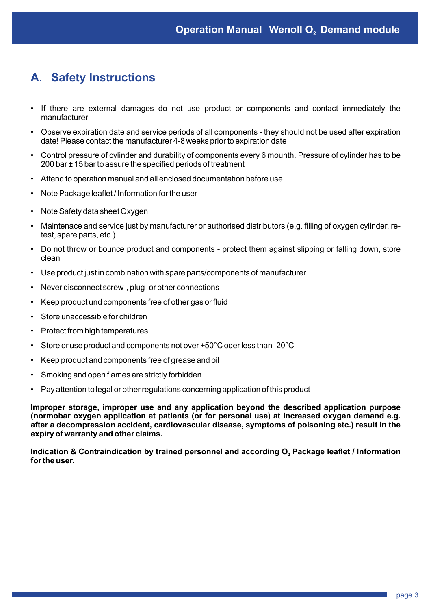# A. Safety Instructions

- If there are external damages do not use product or components and contact immediately the manufacturer
- Observe expiration date and service periods of all components they should not be used after expiration date! Please contact the manufacturer 4-8 weeks prior to expiration date
- Control pressure of cylinder and durability of components every 6 mounth. Pressure of cylinder has to be 200 bar ± 15 bar to assure the specified periods of treatment
- Attend to operation manual and all enclosed documentation before use
- Note Package leaflet / Information for the user
- Note Safety data sheet Oxygen
- Maintenace and service just by manufacturer or authorised distributors (e.g. filling of oxygen cylinder, retest, spare parts, etc.)
- Do not throw or bounce product and components protect them against slipping or falling down, store clean
- Use product just in combination with spare parts/components of manufacturer
- Never disconnect screw-, plug- or other connections
- Keep product und components free of other gas or fluid
- Store unaccessible for children
- Protect from high temperatures
- Store or use product and components not over +50°C oder less than -20°C
- Keep product and components free of grease and oil
- Smoking and open flames are strictly forbidden
- Pay attention to legal or other regulations concerning application of this product

Improper storage, improper use and any application beyond the described application purpose (normobar oxygen application at patients (or for personal use) at increased oxygen demand e.g. after a decompression accident, cardiovascular disease, symptoms of poisoning etc.) result in the expiry of warranty and other claims. • Use product just in combination with spare parts/components of manufacturer<br>
• Never disconnect screw-, plug- or other connections<br>
• Keep product und components free of other gas or fluid<br>
• Store or use product and c

for the user. Indication & Contraindication by trained personnel and according O<sub>2</sub> Package leaflet / Information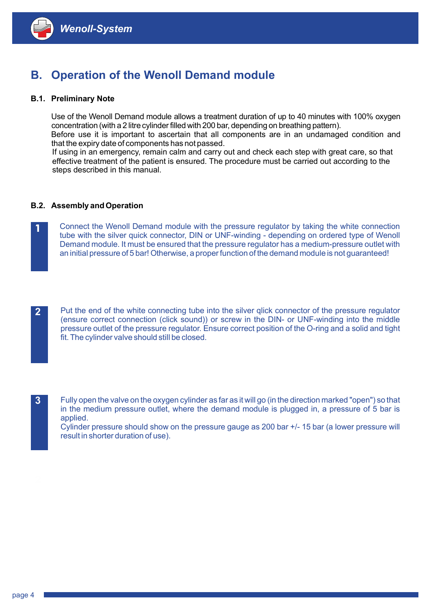

# B. Operation of the Wenoll Demand module

# B.1. Preliminary Note

concentration (with a 2 litre cylinder filled with 200 bar, depending on breathing pattern). Use of the Wenoll Demand module allows a treatment duration of up to 40 minutes with 100% oxygen

 Before use it is important to ascertain that all components are in an undamaged condition and that the expiry date of components has not passed.

**Menoll-System**<br> **Operation of the Wenoll Demand module**<br> **Preliminary Note**<br>
Use of the Wenoll Demand module allows a treatment duration of up to 40 minutes with 100% oxygen<br>
concentration (with a 2 litre cylinder filled If using in an emergency, remain calm and carry out and check each step with great care, so that effective treatment of the patient is ensured. The procedure must be carried out according to the steps described in this manual.

# B.2. Assembly and Operation

Connect the Wenoll Demand module with the pressure regulator by taking the white connection tube with the silver quick connector, DIN or UNF-winding - depending on ordered type of Wenoll Demand module. It must be ensured that the pressure regulator has a medium-pressure outlet with an initial pressure of 5 bar! Otherwise, a proper function of the demand module is not guaranteed!



2 Put the end of the white connecting tube into the silver qlick connector of the pressure regulator (ensure correct connection (click sound)) or screw in the DIN- or UNF-winding into the middle pressure outlet of the pressure regulator. Ensure correct position of the O-ring and a solid and tight fit. The cylinder valve should still be closed.

3

3 Fully open the valve on the oxygen cylinder as far as it will go (in the direction marked "open") so that in the medium pressure outlet, where the demand module is plugged in, a pressure of 5 bar is applied.

Cylinder pressure should show on the pressure gauge as 200 bar +/- 15 bar (a lower pressure will result in shorter duration of use).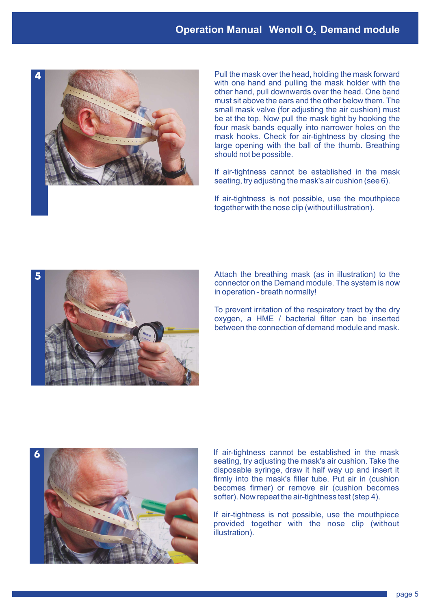# **Operation Manual Wenoll O<sub>2</sub> Demand module**<br>Pull the mask over the head, holding the mask forward



Pull the mask over the head, holding the mask forward with one hand and pulling the mask holder with the other hand, pull downwards over the head. One band must sit above the ears and the other below them. The small mask valve (for adjusting the air cushion) must be at the top. Now pull the mask tight by hooking the four mask bands equally into narrower holes on the mask hooks. Check for air-tightness by closing the large opening with the ball of the thumb. Breathing should not be possible.

If air-tightness cannot be established in the mask seating, try adjusting the mask's air cushion (see 6).

If air-tightness is not possible, use the mouthpiece together with the nose clip (without illustration).



Attach the breathing mask (as in illustration) to the connector on the Demand module. The system is now in operation - breath normally!

To prevent irritation of the respiratory tract by the dry oxygen, a HME / bacterial filter can be inserted between the connection of demand module and mask.



If air-tightness cannot be established in the mask seating, try adjusting the mask's air cushion. Take the disposable syringe, draw it half way up and insert it firmly into the mask's filler tube. Put air in (cushion becomes firmer) or remove air (cushion becomes softer). Now repeat the air-tightness test (step 4).

If air-tightness is not possible, use the mouthpiece provided together with the nose clip (without illustration).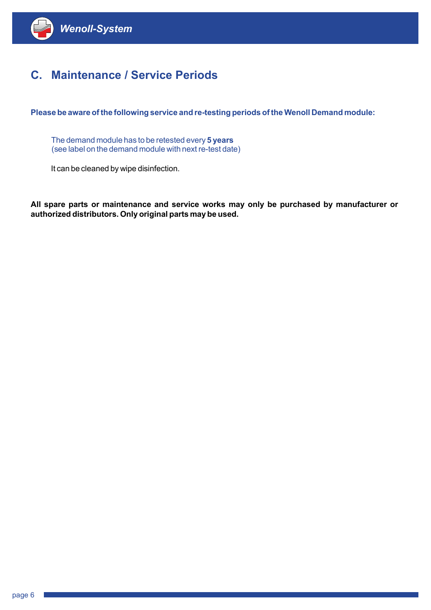

# C. Maintenance / Service Periods

Please be aware of the following service and re-testing periods of the Wenoll Demand module:

The demand module has to be retested every 5 years (see label on the demand module with next re-test date)

It can be cleaned by wipe disinfection.

All spare parts or maintenance and service works may only be purchased by manufacturer or authorized distributors. Only original parts may be used.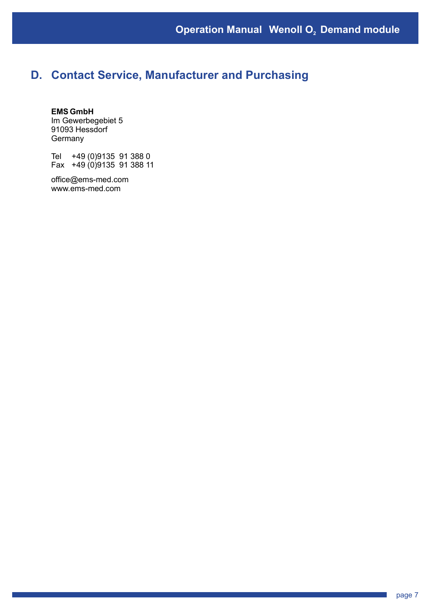# D. Contact Service, Manufacturer and Purchasing

# EMS GmbH

Im Gewerbegebiet 5 91093 Hessdorf **Germany** 

Tel +49 (0)9135 91 388 0 Fax +49 (0)9135 91 388 11

 www.ems-med.com office@ems-med.com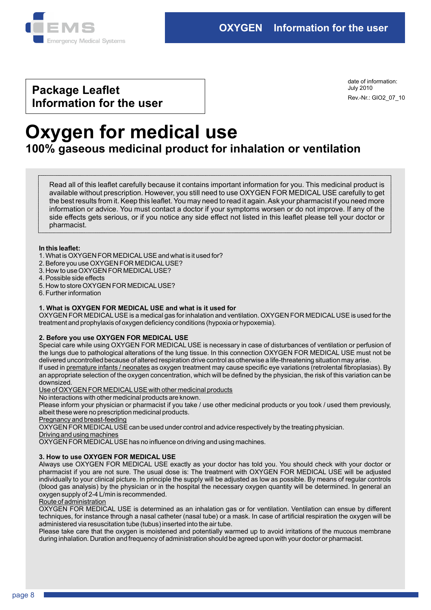

# Package Leaflet Information for the user

Rev.-Nr.: GIO2\_07\_10 date of information: July 2010

# Oxygen for medical use 100% gaseous medicinal product for inhalation or ventilation

Read all of this leaflet carefully because it contains important information for you. This medicinal product is available without prescription. However, you still need to use OXYGEN FOR MEDICAL USE carefully to get the best results from it. Keep this leaflet. You may need to read it again. Ask your pharmacist if you need more information or advice. You must contact a doctor if your symptoms worsen or do not improve. If any of the side effects gets serious, or if you notice any side effect not listed in this leaflet please tell your doctor or pharmacist.

# In this leaflet:

- 1. What is OXYGEN FOR MEDICAL USE and what is it used for?
- 2. Before you use OXYGEN FOR MEDICAL USE?
- 3. How to use OXYGEN FOR MEDICAL USE?
- 4. Possible side effects
- 5. How to store OXYGEN FOR MEDICAL USE?
- 6. Further information

# 1. What is OXYGEN FOR MEDICAL USE and what is it used for

OXYGEN FOR MEDICAL USE is a medical gas for inhalation and ventilation. OXYGEN FOR MEDICAL USE is used for the treatment and prophylaxis of oxygen deficiency conditions (hypoxia or hypoxemia).

# 2. Before you use OXYGEN FOR MEDICAL USE

If used in <u>premature infants / neonates</u> as oxygen treatment may cause specific eye variations (retrolental fibroplasias). By an appropriate selection of the oxygen concentration, which will be defined by the physician, the risk of this variation can be Special care while using OXYGEN FOR MEDICAL USE is necessary in case of disturbances of ventilation or perfusion of the lungs due to pathological alterations of the lung tissue. In this connection OXYGEN FOR MEDICAL USE must not be delivered uncontrolled because of altered respiration drive control as otherwise a life-threatening situation may arise.

# downsized.

Use of OXYGEN FOR MEDICAL USE with other medicinal products

No interactions with other medicinal products are known.

Please inform your physician or pharmacist if you take / use other medicinal products or you took / used them previously, albeit these were no prescription medicinal products.

Pregnancy and breast-feeding

OXYGEN FOR MEDICAL USE can be used under control and advice respectively by the treating physician.

Driving and using machines

OXYGEN FOR MEDICAL USE has no influence on driving and using machines.

# 3. How to use OXYGEN FOR MEDICAL USE

Always use OXYGEN FOR MEDICAL USE exactly as your doctor has told you. You should check with your doctor or pharmacist if you are not sure. The usual dose is: The treatment with OXYGEN FOR MEDICAL USE will be adjusted individually to your clinical picture. In principle the supply will be adjusted as low as possible. By means of regular controls (blood gas analysis) by the physician or in the hospital the necessary oxygen quantity will be determined. In general an oxygen supply of 2-4 L/min is recommended.

# Route of administration

OXYGEN FOR MEDICAL USE is determined as an inhalation gas or for ventilation. Ventilation can ensue by different techniques, for instance through a nasal catheter (nasal tube) or a mask. In case of artificial respiration the oxygen will be administered via resuscitation tube (tubus) inserted into the air tube.

Please take care that the oxygen is moistened and potentially warmed up to avoid irritations of the mucous membrane during inhalation. Duration and frequency of administration should be agreed upon with your doctor or pharmacist.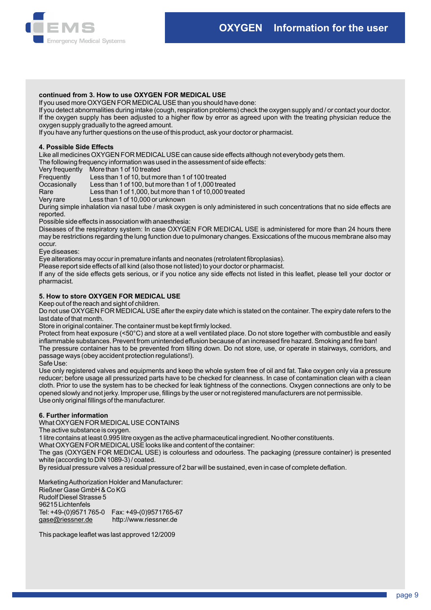

# continued from 3. How to use OXYGEN FOR MEDICAL USE

If you used more OXYGEN FOR MEDICAL USE than you should have done:

If you detect abnormalities during intake (cough, respiration problems) check the oxygen supply and / or contact your doctor. If the oxygen supply has been adjusted to a higher flow by error as agreed upon with the treating physician reduce the oxygen supply gradually to the agreed amount.

If you have any further questions on the use of this product, ask your doctor or pharmacist.

# 4. Possible Side Effects

Like all medicines OXYGEN FOR MEDICAL USE can cause side effects although not everybody gets them.

The following frequency information was used in the assessment of side effects:

Very frequently More than 1 of 10 treated<br>Frequently Less than 1 of 10, but mo

Less than 1 of 10, but more than 1 of 100 treated

Occasionally Less than 1 of 100, but more than 1 of 1,000 treated

Rare Less than 1 of 1,000, but more than 1 of 10,000 treated

Very rare Less than 1 of 10,000 or unknown

During simple inhalation via nasal tube / mask oxygen is only administered in such concentrations that no side effects are reported.

Possible side effects in association with anaesthesia:

Diseases of the respiratory system: In case OXYGEN FOR MEDICAL USE is administered for more than 24 hours there may be restrictions regarding the lung function due to pulmonary changes. Exsiccations of the mucous membrane also may occur.

Eye diseases:

Eye alterations may occur in premature infants and neonates (retrolatent fibroplasias).

Please report side effects of all kind (also those not listed) to your doctor or pharmacist.

If any of the side effects gets serious, or if you notice any side effects not listed in this leaflet, please tell your doctor or pharmacist.

# 5. How to store OXYGEN FOR MEDICAL USE

Keep out of the reach and sight of children.

Do not use OXYGEN FOR MEDICAL USE after the expiry date which is stated on the container. The expiry date refers to the last date of that month.

Store in original container. The container must be kept firmly locked.

Protect from heat exposure (<50°C) and store at a well ventilated place. Do not store together with combustible and easily inflammable substances. Prevent from unintended effusion because of an increased fire hazard. Smoking and fire ban! The pressure container has to be prevented from tilting down. Do not store, use, or operate in stairways, corridors, and passage ways (obey accident protection regulations!).

Safe Use:

Use only registered valves and equipments and keep the whole system free of oil and fat. Take oxygen only via a pressure reducer; before usage all pressurized parts have to be checked for cleanness. In case of contamination clean with a clean cloth. Prior to use the system has to be checked for leak tightness of the connections. Oxygen connections are only to be opened slowly and not jerky. Improper use, fillings by the user or not registered manufacturers are not permissible. Use only original fillings of the manufacturer.

# 6. Further information

What OXYGEN FOR MEDICAL USE CONTAINS

The active substance is oxygen.

1 litre contains at least 0.995 litre oxygen as the active pharmaceutical ingredient. No other constituents.

What OXYGEN FOR MEDICAL USE looks like and content of the container:

The gas (OXYGEN FOR MEDICAL USE) is colourless and odourless. The packaging (pressure container) is presented white (according to DIN 1089-3) / coated.

By residual pressure valves a residual pressure of 2 bar will be sustained, even in case of complete deflation.

Marketing Authorization Holder and Manufacturer:

Rießner Gase GmbH & Co KG gase@riessner.de http://www.riessner.de Tel: +49-(0)9571 765-0 Fax: +49-(0)9571765-67 96215 Lichtenfels Rudolf Diesel Strasse 5

This package leaflet was last approved 12/2009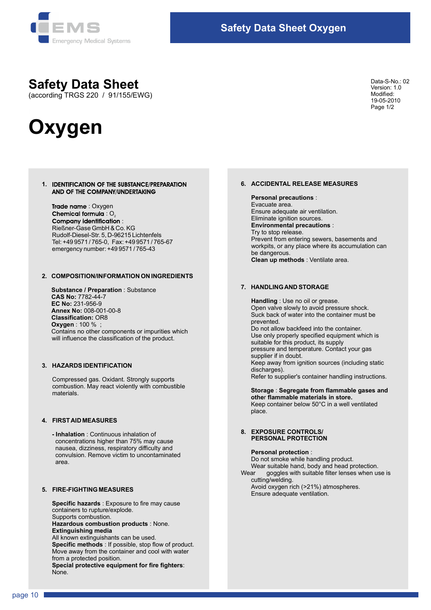

# Safety Data Sheet

(according TRGS 220 / 91/155/EWG)

# **Oxygen**

Data-S-No.: 02 Version: 1.0 Modified: 19-05-2010 Page 1/2

# 1. IDENTIFICATION OF THE SUBSTANCE/PREPARATION AND OF THE COMPANY/UNDERTAKING

Trade name: Oxygen Chemical formula : O. Rudolf-Diesel-Str. 5, D-96215 Lichtenfels Tel: +49 9571 / 765-0, Fax: +49 9571 / 765-67 emergency number: +49 9571 / 765-43 : Rießner-Gase GmbH & Co. KG

# 2. COMPOSITION/INFORMATION ON INGREDIENTS

 Substance / Preparation : Substance CAS No: 7782-44-7 Annex No: 008-001-00-8 EC No: 231-956-9 Oxygen : 100 % ; Contains no other components or impurities which will influence the classification of the product. Classification: OR8

# 3. HAZARDS IDENTIFICATION

Compressed gas. Oxidant. Strongly supports combustion. May react violently with combustible materials.

# 4. FIRST AID MEASURES

 convulsion. Remove victim to uncontaminated - Inhalation : Continuous inhalation of concentrations higher than 75% may cause nausea, dizziness, respiratory difficulty and area.

# 5. FIRE-FIGHTING MEASURES

 Hazardous combustion products : None. Supports combustion. Extinguishing media All known extinguishants can be used. Special protective equipment for fire fighters: None. Specific hazards : Exposure to fire may cause containers to rupture/explode. Specific methods : If possible, stop flow of product. Move away from the container and cool with water from a protected position.

# 6. ACCIDENTAL RELEASE MEASURES

### Personal precautions :

 Clean up methods : Ventilate area. Prevent from entering sewers, basements and workpits, or any place where its accumulation can be dangerous. Ensure adequate air ventilation. Eliminate ignition sources. Environmental precautions : Try to stop release. Evacuate area.

# 7. HANDLING AND STORAGE

 Refer to supplier's container handling instructions. Handling : Use no oil or grease. Open valve slowly to avoid pressure shock. Suck back of water into the container must be prevented. Use only properly specified equipment which is suitable for this product, its supply pressure and temperature. Contact your gas supplier if in doubt. Keep away from ignition sources (including static discharges). Do not allow backfeed into the container. Ensure adequate air ventilation.<br>
Elminate ignition sources.<br>
Try to stop release.<br>
Try to stop release.<br>
Prevent from entering sewers, basements and<br>
workpits, or any place where its accumulation can<br>
be dangerous.<br>
Clean

 Keep container below 50°C in a well ventilated place. Storage : Segregate from flammable gases and other flammable materials in store.

# 8. EXPOSURE CONTROLS/ PERSONAL PROTECTION

### Personal protection :

 Do not smoke while handling product. Avoid oxygen rich (>21%) atmospheres. Ensure adequate ventilation. Wear suitable hand, body and head protection.<br>Wear goagles with suitable filter lenses when us goggles with suitable filter lenses when use is cutting/welding.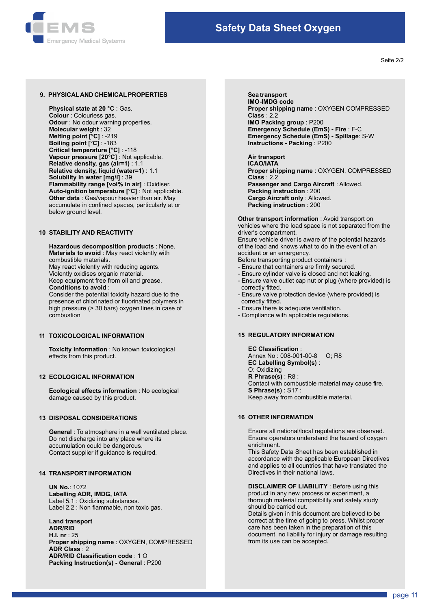

Seite 2/2

## 9. PHYSICAL AND CHEMICAL PROPERTIES

 Vapour pressure [20°C] : Not applicable. Melting point [°C] : -219 Critical temperature [°C] : -118 Relative density, gas (air=1) : 1.1 **Odour** : No odour warning properties. Molecular weight : 32 Boiling point [°C] : -183 Flammability range [vol% in air] : Oxidiser. Physical state at 20 °C : Gas. Other data : Gas/vapour heavier than air. May accumulate in confined spaces, particularly at or Auto-ignition temperature [°C] : Not applicable. below ground level. Solubility in water [mg/l] : 39 Colour : Colourless gas. Relative density, liquid (water=1) : 1.1

# 10 STABILITY AND REACTIVITY

 Hazardous decomposition products : None. May react violently with reducing agents. Materials to avoid : May react violently with combustible materials. Violently oxidises organic material.

Keep equipment free from oil and grease.

# Conditions to avoid :

 Consider the potential toxicity hazard due to the presence of chlorinated or fluorinated polymers in high pressure (> 30 bars) oxygen lines in case of combustion

# 11 TOXICOLOGICAL INFORMATION

 Toxicity information : No known toxicological effects from this product.

# 12 ECOLOGICAL INFORMATION

 Ecological effects information : No ecological damage caused by this product.

# 13 DISPOSAL CONSIDERATIONS

 Do not discharge into any place where its accumulation could be dangerous. General : To atmosphere in a well ventilated place. Contact supplier if guidance is required.

# 14 TRANSPORT INFORMATION

Label 5.1 : Oxidizing substances. Labelling ADR, IMDG, IATA UN No.: 1072 Label 2.2 : Non flammable, non toxic gas.

 Land transport ADR/RID H.I. nr : 25 Proper shipping name : OXYGEN, COMPRESSED ADR Class : 2 ADR/RID Classification code : 1 O Packing Instruction(s) - General : P200

Sea transport Proper shipping name : OXYGEN COMPRESSED Instructions - Packing : P200 Emergency Schedule (EmS) - Spillage: S-W IMO-IMDG code Class : 2.2 Emergency Schedule (EmS) - Fire : F-C IMO Packing group : P200

 Proper shipping name : OXYGEN, COMPRESSED Cargo Aircraft only : Allowed. Air transport ICAO/IATA Class : 2.2 Packing instruction : 200 Packing instruction : 200 Passenger and Cargo Aircraft : Allowed.

**Other transport information** : Avoid transport on vehicles where the load space is not separated from the driver's compartment. Ensure vehicle driver is aware of the potential hazards

of the load and knows what to do in the event of an accident or an emergency. Before transporting product containers :

- Ensure that containers are firmly secured.
- 
- Ensure cylinder valve is closed and not leaking.
- Ensure valve outlet cap nut or plug (where provided) is correctly fitted.
- Ensure valve protection device (where provided) is correctly fitted.
- Ensure there is adequate ventilation.
- Compliance with applicable regulations.

 Keep away from combustible material. EC Labelling Symbol(s) : O: Oxidizing R Phrase(s) : R8 : EC Classification : 15 REGULATORY INFORMATION Annex No : 008-001-00-8 O; R8 S Phrase(s) : S17 : Contact with combustible material may cause fire.

# 16 OTHER INFORMATION

 Ensure operators understand the hazard of oxygen enrichment. Ensure all national/local regulations are observed.

 This Safety Data Sheet has been established in accordance with the applicable European Directives and applies to all countries that have translated the Directives in their national laws.

 DISCLAIMER OF LIABILITY : Before using this product in any new process or experiment, a thorough material compatibility and safety study should be carried out.

 Details given in this document are believed to be correct at the time of going to press. Whilst proper care has been taken in the preparation of this document, no liability for injury or damage resulting from its use can be accepted.